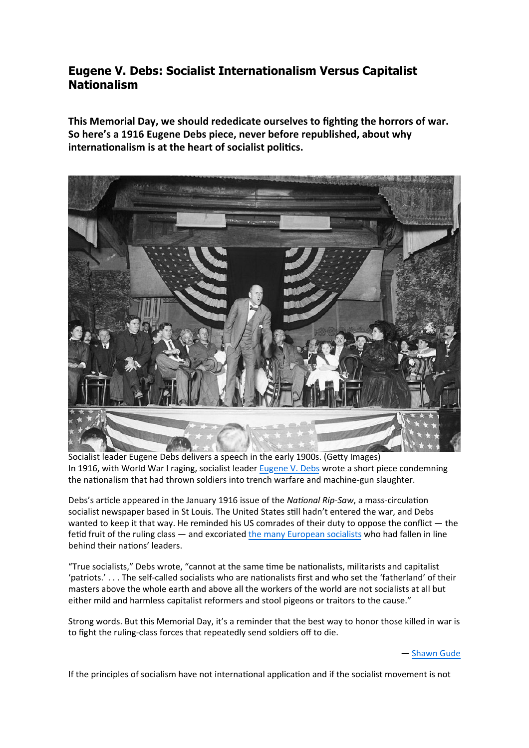## **Eugene V. Debs: Socialist Internationalism Versus Capitalist Nationalism**

This Memorial Day, we should rededicate ourselves to fighting the horrors of war. So here's a 1916 Eugene Debs piece, never before republished, about why internationalism is at the heart of socialist politics.



Socialist leader Eugene Debs delivers a speech in the early 1900s. (Getty Images) In 1916, with World War I raging, socialist leader **Eugene V. Debs** wrote a short piece condemning the nationalism that had thrown soldiers into trench warfare and machine-gun slaughter.

Debs's article appeared in the January 1916 issue of the *National Rip-Saw*, a mass-circulation socialist newspaper based in St Louis. The United States still hadn't entered the war, and Debs wanted to keep it that way. He reminded his US comrades of their duty to oppose the conflict — the fetid fruit of the ruling class — and excoriated the many European socialists who had fallen in line behind their nations' leaders.

"True socialists," Debs wrote, "cannot at the same time be nationalists, militarists and capitalist 'patriots.' . . . The self-called socialists who are nationalists first and who set the 'fatherland' of their masters above the whole earth and above all the workers of the world are not socialists at all but either mild and harmless capitalist reformers and stool pigeons or traitors to the cause."

Strong words. But this Memorial Day, it's a reminder that the best way to honor those killed in war is to fight the ruling-class forces that repeatedly send soldiers off to die.

- Shawn Gude

If the principles of socialism have not international application and if the socialist movement is not